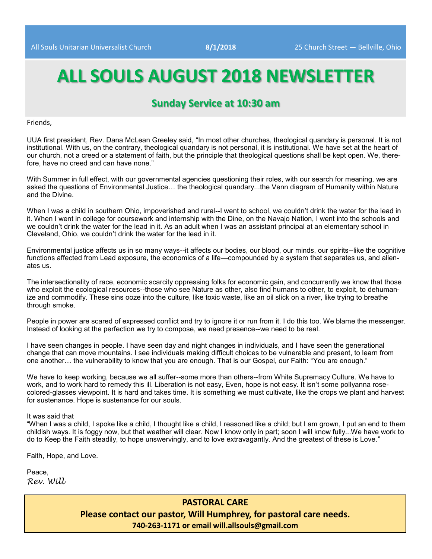# **ALL SOULS AUGUST 2018 NEWSLETTER**

## **Sunday Service at 10:30 am**

Friends,

UUA first president, Rev. Dana McLean Greeley said, "In most other churches, theological quandary is personal. It is not institutional. With us, on the contrary, theological quandary is not personal, it is institutional. We have set at the heart of our church, not a creed or a statement of faith, but the principle that theological questions shall be kept open. We, therefore, have no creed and can have none."

With Summer in full effect, with our governmental agencies questioning their roles, with our search for meaning, we are asked the questions of Environmental Justice… the theological quandary...the Venn diagram of Humanity within Nature and the Divine.

When I was a child in southern Ohio, impoverished and rural--I went to school, we couldn't drink the water for the lead in it. When I went in college for coursework and internship with the Dine, on the Navajo Nation, I went into the schools and we couldn't drink the water for the lead in it. As an adult when I was an assistant principal at an elementary school in Cleveland, Ohio, we couldn't drink the water for the lead in it.

Environmental justice affects us in so many ways--it affects our bodies, our blood, our minds, our spirits--like the cognitive functions affected from Lead exposure, the economics of a life—compounded by a system that separates us, and alienates us.

The intersectionality of race, economic scarcity oppressing folks for economic gain, and concurrently we know that those who exploit the ecological resources--those who see Nature as other, also find humans to other, to exploit, to dehumanize and commodify. These sins ooze into the culture, like toxic waste, like an oil slick on a river, like trying to breathe through smoke.

People in power are scared of expressed conflict and try to ignore it or run from it. I do this too. We blame the messenger. Instead of looking at the perfection we try to compose, we need presence--we need to be real.

I have seen changes in people. I have seen day and night changes in individuals, and I have seen the generational change that can move mountains. I see individuals making difficult choices to be vulnerable and present, to learn from one another… the vulnerability to know that you are enough. That is our Gospel, our Faith: "You are enough."

We have to keep working, because we all suffer--some more than others--from White Supremacy Culture. We have to work, and to work hard to remedy this ill. Liberation is not easy, Even, hope is not easy. It isn't some pollyanna rosecolored-glasses viewpoint. It is hard and takes time. It is something we must cultivate, like the crops we plant and harvest for sustenance. Hope is sustenance for our souls.

#### It was said that

"When I was a child, I spoke like a child, I thought like a child, I reasoned like a child; but I am grown, I put an end to them childish ways. It is foggy now, but that weather will clear. Now I know only in part; soon I will know fully...We have work to do to Keep the Faith steadily, to hope unswervingly, and to love extravagantly. And the greatest of these is Love."

Faith, Hope, and Love.

Peace, *Rev. Will* 

#### **PASTORAL CARE**

**Please contact our pastor, Will Humphrey, for pastoral care needs. 740-263-1171 or email will.allsouls@gmail.com**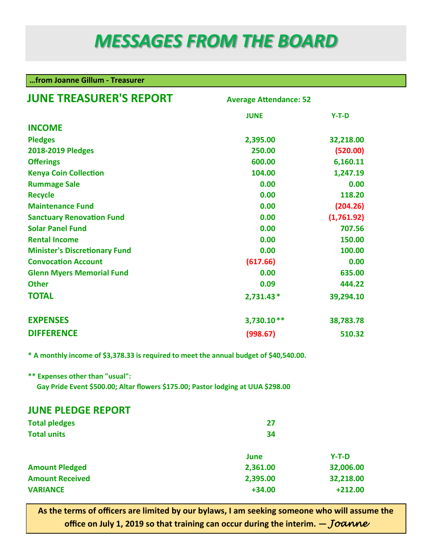# *MESSAGES FROM THE BOARD*

### **…from Joanne Gillum - Treasurer**

| <b>JUNE TREASURER'S REPORT</b>       | <b>Average Attendance: 52</b> |                  |  |  |
|--------------------------------------|-------------------------------|------------------|--|--|
|                                      | <b>JUNE</b>                   | $Y-T-D$          |  |  |
| <b>INCOME</b>                        |                               |                  |  |  |
| <b>Pledges</b>                       | 2,395.00                      | 32,218.00        |  |  |
| <b>2018-2019 Pledges</b>             | 250.00                        | (520.00)         |  |  |
| <b>Offerings</b>                     | 600.00                        | 6,160.11         |  |  |
| <b>Kenya Coin Collection</b>         | 104.00                        | 1,247.19         |  |  |
| <b>Rummage Sale</b>                  | 0.00                          | 0.00             |  |  |
| <b>Recycle</b>                       | 0.00                          | 118.20           |  |  |
| <b>Maintenance Fund</b>              | 0.00                          | (204.26)         |  |  |
| <b>Sanctuary Renovation Fund</b>     | 0.00                          | (1,761.92)       |  |  |
| <b>Solar Panel Fund</b>              | 0.00<br>0.00                  | 707.56<br>150.00 |  |  |
| <b>Rental Income</b>                 |                               |                  |  |  |
| <b>Minister's Discretionary Fund</b> | 0.00                          | 100.00           |  |  |
| <b>Convocation Account</b>           | (617.66)                      | 0.00             |  |  |
| <b>Glenn Myers Memorial Fund</b>     | 0.00                          | 635.00           |  |  |
| <b>Other</b>                         | 0.09                          | 444.22           |  |  |
| <b>TOTAL</b>                         | $2,731.43*$                   | 39,294.10        |  |  |
| <b>EXPENSES</b>                      | 3,730.10**                    | 38,783.78        |  |  |
| <b>DIFFERENCE</b>                    | (998.67)                      | 510.32           |  |  |

**\* A monthly income of \$3,378.33 is required to meet the annual budget of \$40,540.00.**

**\*\* Expenses other than "usual":**

 **Gay Pride Event \$500.00; Altar flowers \$175.00; Pastor lodging at UUA \$298.00**

### **JUNE PLEDGE REPORT**

| <b>Total pledges</b>   | 27       |           |  |  |
|------------------------|----------|-----------|--|--|
| <b>Total units</b>     | 34       |           |  |  |
|                        | June     | $Y-T-D$   |  |  |
| <b>Amount Pledged</b>  | 2,361.00 | 32,006.00 |  |  |
| <b>Amount Received</b> | 2,395.00 | 32,218.00 |  |  |
| <b>VARIANCE</b>        | $+34.00$ | $+212.00$ |  |  |

**As the terms of officers are limited by our bylaws, I am seeking someone who will assume the office on July 1, 2019 so that training can occur during the interim.**  $-$ *Joanne*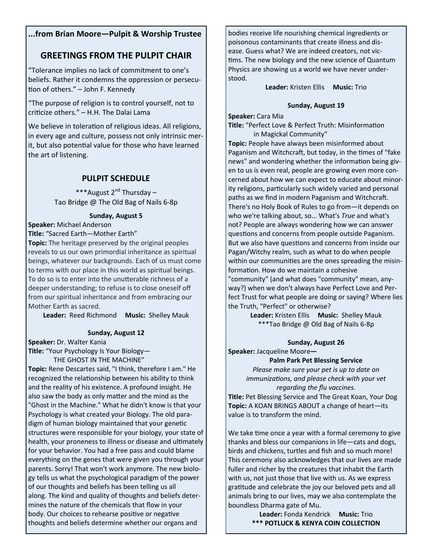#### **...from Brian Moore—Pulpit & Worship Trustee**

## **GREETINGS FROM THE PULPIT CHAIR**

"Tolerance implies no lack of commitment to one's beliefs. Rather it condemns the oppression or persecution of others." – John F. Kennedy

"The purpose of religion is to control yourself, not to criticize others." – H.H. The Dalai Lama

We believe in toleration of religious ideas. All religions, in every age and culture, possess not only intrinsic merit, but also potential value for those who have learned the art of listening.

### **PULPIT SCHEDULE**

\*\*\*August 2<sup>nd</sup> Thursday – Tao Bridge @ The Old Bag of Nails 6-8p

#### **Sunday, August 5**

**Speaker:** Michael Anderson

**Title:** "Sacred Earth—Mother Earth"

**Topic:** The heritage preserved by the original peoples reveals to us our own primordial inheritance as spiritual beings, whatever our backgrounds. Each of us must come to terms with our place in this world as spiritual beings. To do so is to enter into the unutterable richness of a deeper understanding; to refuse is to close oneself off from our spiritual inheritance and from embracing our Mother Earth as sacred.

**Leader:** Reed Richmond **Music:** Shelley Mauk

#### **Sunday, August 12**

**Speaker:** Dr. Walter Kania

**Title:** "Your Psychology Is Your Biology—

THE GHOST IN THE MACHINE"

**Topic:** Rene Descartes said, "I think, therefore I am." He recognized the relationship between his ability to think and the reality of his existence. A profound insight. He also saw the body as only matter and the mind as the "Ghost in the Machine." What he didn't know is that your Psychology is what created your Biology. The old paradigm of human biology maintained that your genetic structures were responsible for your biology, your state of health, your proneness to illness or disease and ultimately for your behavior. You had a free pass and could blame everything on the genes that were given you through your parents. Sorry! That won't work anymore. The new biology tells us what the psychological paradigm of the power of our thoughts and beliefs has been telling us all along. The kind and quality of thoughts and beliefs determines the nature of the chemicals that flow in your body. Our choices to rehearse positive or negative thoughts and beliefs determine whether our organs and

bodies receive life nourishing chemical ingredients or poisonous contaminants that create illness and disease. Guess what? We are indeed creators, not victims. The new biology and the new science of Quantum Physics are showing us a world we have never understood.

**Leader:** Kristen Ellis **Music:** Trio

#### **Sunday, August 19**

**Speaker:** Cara Mia

**Title:** "Perfect Love & Perfect Truth: Misinformation in Magickal Community"

**Topic:** People have always been misinformed about Paganism and Witchcraft, but today, in the times of "fake news" and wondering whether the information being given to us is even real, people are growing even more concerned about how we can expect to educate about minority religions, particularly such widely varied and personal paths as we find in modern Paganism and Witchcraft. There's no Holy Book of Rules to go from—it depends on who we're talking about, so... What's *True* and what's not? People are always wondering how we can answer questions and concerns from people outside Paganism. But we also have questions and concerns from inside our Pagan/Witchy realm, such as what to do when people within our communities are the ones spreading the misinformation. How do we maintain a cohesive "community" (and what does "community" mean, anyway?) when we don't always have Perfect Love and Perfect Trust for what people are doing or saying? Where lies the Truth, "Perfect" or otherwise?

> **Leader:** Kristen Ellis **Music:** Shelley Mauk \*\*\*Tao Bridge @ Old Bag of Nails 6-8p

#### **Sunday, August 26**

**Speaker:** Jacqueline Moore**—**

**Palm Park Pet Blessing Service**  *Please make sure your pet is up to date on immunizations, and please check with your vet regarding the flu vaccines.*

**Title:** Pet Blessing Service and The Great Koan, Your Dog **Topic:** A KOAN BRINGS ABOUT a change of heart—its value is to transform the mind.

We take time once a year with a formal ceremony to give thanks and bless our companions in life—cats and dogs, birds and chickens, turtles and fish and so much more! This ceremony also acknowledges that our lives are made fuller and richer by the creatures that inhabit the Earth with us, not just those that live with us. As we express gratitude and celebrate the joy our beloved pets and all animals bring to our lives, may we also contemplate the boundless Dharma gate of Mu.

> **Leader:** Fonda Kendrick **Music:** Trio **\*\*\* POTLUCK & KENYA COIN COLLECTION**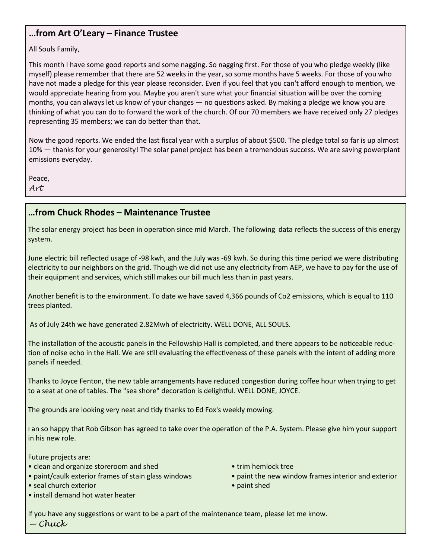## **…from Art O'Leary – Finance Trustee**

All Souls Family,

This month I have some good reports and some nagging. So nagging first. For those of you who pledge weekly (like myself) please remember that there are 52 weeks in the year, so some months have 5 weeks. For those of you who have not made a pledge for this year please reconsider. Even if you feel that you can't afford enough to mention, we would appreciate hearing from you. Maybe you aren't sure what your financial situation will be over the coming months, you can always let us know of your changes — no questions asked. By making a pledge we know you are thinking of what you can do to forward the work of the church. Of our 70 members we have received only 27 pledges representing 35 members; we can do better than that.

Now the good reports. We ended the last fiscal year with a surplus of about \$500. The pledge total so far is up almost 10% — thanks for your generosity! The solar panel project has been a tremendous success. We are saving powerplant emissions everyday.

Peace,

*Art*

## **…from Chuck Rhodes – Maintenance Trustee**

The solar energy project has been in operation since mid March. The following data reflects the success of this energy system.

June electric bill reflected usage of -98 kwh, and the July was -69 kwh. So during this time period we were distributing electricity to our neighbors on the grid. Though we did not use any electricity from AEP, we have to pay for the use of their equipment and services, which still makes our bill much less than in past years.

Another benefit is to the environment. To date we have saved 4,366 pounds of Co2 emissions, which is equal to 110 trees planted.

As of July 24th we have generated 2.82Mwh of electricity. WELL DONE, ALL SOULS.

The installation of the acoustic panels in the Fellowship Hall is completed, and there appears to be noticeable reduction of noise echo in the Hall. We are still evaluating the effectiveness of these panels with the intent of adding more panels if needed.

Thanks to Joyce Fenton, the new table arrangements have reduced congestion during coffee hour when trying to get to a seat at one of tables. The "sea shore" decoration is delightful. WELL DONE, JOYCE.

The grounds are looking very neat and tidy thanks to Ed Fox's weekly mowing.

I an so happy that Rob Gibson has agreed to take over the operation of the P.A. System. Please give him your support in his new role.

Future projects are:

- clean and organize storeroom and shed trim hemlock tree
- 
- seal church exterior paint shed
- install demand hot water heater
- 
- paint/caulk exterior frames of stain glass windows paint the new window frames interior and exterior
	-

If you have any suggestions or want to be a part of the maintenance team, please let me know. *— Chuck*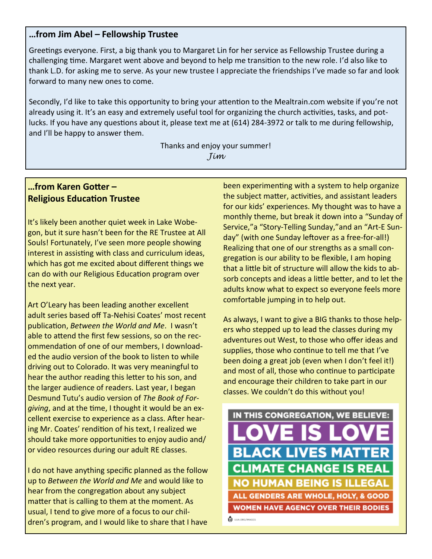### **…from Jim Abel – Fellowship Trustee**

Greetings everyone. First, a big thank you to Margaret Lin for her service as Fellowship Trustee during a challenging time. Margaret went above and beyond to help me transition to the new role. I'd also like to thank L.D. for asking me to serve. As your new trustee I appreciate the friendships I've made so far and look forward to many new ones to come.

Secondly, I'd like to take this opportunity to bring your attention to the Mealtrain.com website if you're not already using it. It's an easy and extremely useful tool for organizing the church activities, tasks, and potlucks. If you have any questions about it, please text me at (614) 284-3972 or talk to me during fellowship, and I'll be happy to answer them.

> Thanks and enjoy your summer! *Jim*

## **…from Karen Gotter – Religious Education Trustee**

It's likely been another quiet week in Lake Wobegon, but it sure hasn't been for the RE Trustee at All Souls! Fortunately, I've seen more people showing interest in assisting with class and curriculum ideas, which has got me excited about different things we can do with our Religious Education program over the next year.

Art O'Leary has been leading another excellent adult series based off Ta-Nehisi Coates' most recent publication, *Between the World and Me*. I wasn't able to attend the first few sessions, so on the recommendation of one of our members, I downloaded the audio version of the book to listen to while driving out to Colorado. It was very meaningful to hear the author reading this letter to his son, and the larger audience of readers. Last year, I began Desmund Tutu's audio version of *The Book of Forgiving*, and at the time, I thought it would be an excellent exercise to experience as a class. After hearing Mr. Coates' rendition of his text, I realized we should take more opportunities to enjoy audio and/ or video resources during our adult RE classes.

I do not have anything specific planned as the follow up to *Between the World and Me* and would like to hear from the congregation about any subject matter that is calling to them at the moment. As usual, I tend to give more of a focus to our children's program, and I would like to share that I have been experimenting with a system to help organize the subject matter, activities, and assistant leaders for our kids' experiences. My thought was to have a monthly theme, but break it down into a "Sunday of Service,"a "Story-Telling Sunday,"and an "Art-E Sunday" (with one Sunday leftover as a free-for-all!) Realizing that one of our strengths as a small congregation is our ability to be flexible, I am hoping that a little bit of structure will allow the kids to absorb concepts and ideas a little better, and to let the adults know what to expect so everyone feels more comfortable jumping in to help out.

As always, I want to give a BIG thanks to those helpers who stepped up to lead the classes during my adventures out West, to those who offer ideas and supplies, those who continue to tell me that I've been doing a great job (even when I don't feel it!) and most of all, those who continue to participate and encourage their children to take part in our classes. We couldn't do this without you!